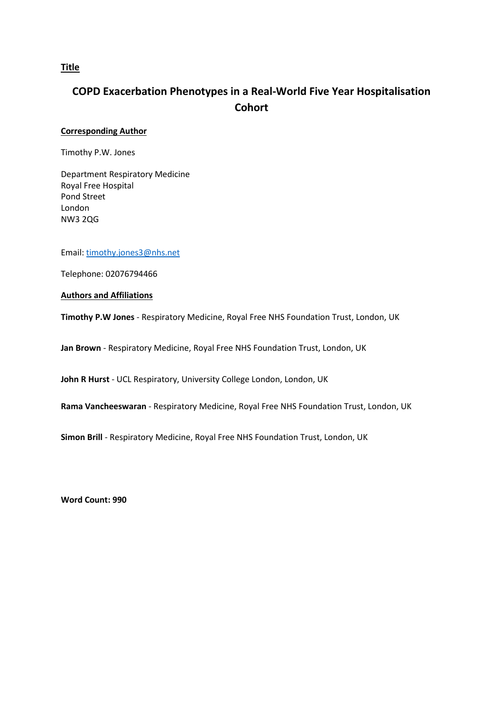# **Title**

# **COPD Exacerbation Phenotypes in a Real-World Five Year Hospitalisation Cohort**

# **Corresponding Author**

Timothy P.W. Jones

Department Respiratory Medicine Royal Free Hospital Pond Street London NW3 2QG

Email: [timothy.jones3@nhs.net](mailto:timothy.jones3@nhs.net)

Telephone: 02076794466

**Authors and Affiliations**

**Timothy P.W Jones** - Respiratory Medicine, Royal Free NHS Foundation Trust, London, UK

**Jan Brown** - Respiratory Medicine, Royal Free NHS Foundation Trust, London, UK

**John R Hurst** - UCL Respiratory, University College London, London, UK

**Rama Vancheeswaran** - Respiratory Medicine, Royal Free NHS Foundation Trust, London, UK

**Simon Brill** - Respiratory Medicine, Royal Free NHS Foundation Trust, London, UK

**Word Count: 990**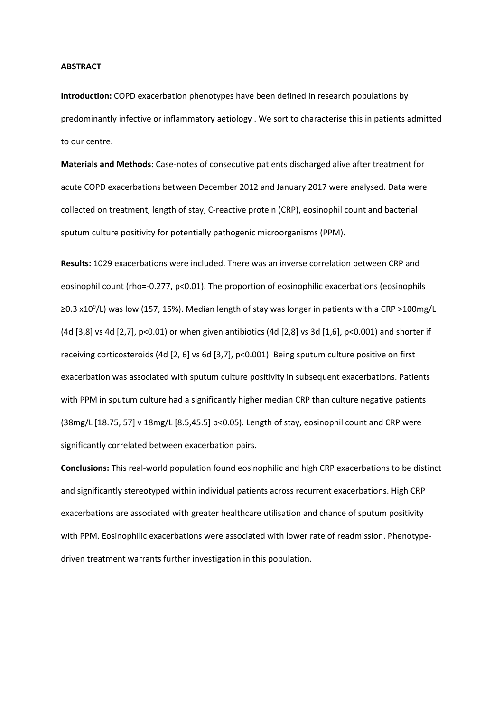#### **ABSTRACT**

**Introduction:** COPD exacerbation phenotypes have been defined in research populations by predominantly infective or inflammatory aetiology . We sort to characterise this in patients admitted to our centre.

**Materials and Methods:** Case-notes of consecutive patients discharged alive after treatment for acute COPD exacerbations between December 2012 and January 2017 were analysed. Data were collected on treatment, length of stay, C-reactive protein (CRP), eosinophil count and bacterial sputum culture positivity for potentially pathogenic microorganisms (PPM).

**Results:** 1029 exacerbations were included. There was an inverse correlation between CRP and eosinophil count (rho=-0.277, p<0.01). The proportion of eosinophilic exacerbations (eosinophils ≥0.3 x10<sup>9</sup>/L) was low (157, 15%). Median length of stay was longer in patients with a CRP >100mg/L (4d [3,8] vs 4d [2,7], p<0.01) or when given antibiotics (4d [2,8] vs 3d [1,6], p<0.001) and shorter if receiving corticosteroids (4d [2, 6] vs 6d [3,7], p<0.001). Being sputum culture positive on first exacerbation was associated with sputum culture positivity in subsequent exacerbations. Patients with PPM in sputum culture had a significantly higher median CRP than culture negative patients (38mg/L [18.75, 57] v 18mg/L [8.5,45.5] p<0.05). Length of stay, eosinophil count and CRP were significantly correlated between exacerbation pairs.

**Conclusions:** This real-world population found eosinophilic and high CRP exacerbations to be distinct and significantly stereotyped within individual patients across recurrent exacerbations. High CRP exacerbations are associated with greater healthcare utilisation and chance of sputum positivity with PPM. Eosinophilic exacerbations were associated with lower rate of readmission. Phenotypedriven treatment warrants further investigation in this population.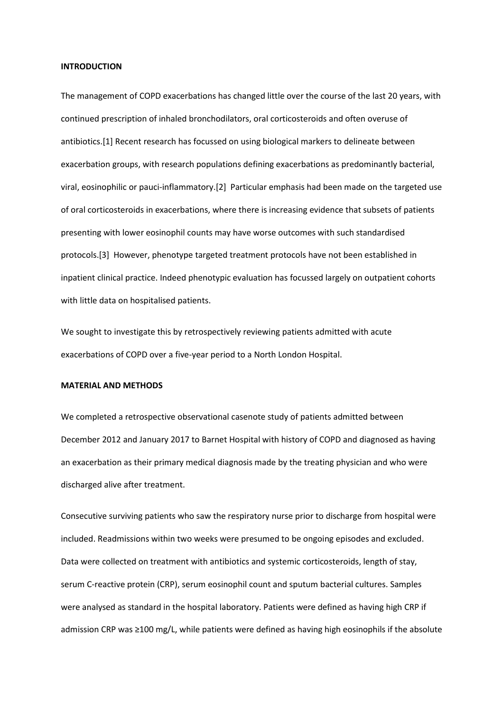#### **INTRODUCTION**

The management of COPD exacerbations has changed little over the course of the last 20 years, with continued prescription of inhaled bronchodilators, oral corticosteroids and often overuse of antibiotics.[1] Recent research has focussed on using biological markers to delineate between exacerbation groups, with research populations defining exacerbations as predominantly bacterial, viral, eosinophilic or pauci-inflammatory.[2] Particular emphasis had been made on the targeted use of oral corticosteroids in exacerbations, where there is increasing evidence that subsets of patients presenting with lower eosinophil counts may have worse outcomes with such standardised protocols.[3] However, phenotype targeted treatment protocols have not been established in inpatient clinical practice. Indeed phenotypic evaluation has focussed largely on outpatient cohorts with little data on hospitalised patients.

We sought to investigate this by retrospectively reviewing patients admitted with acute exacerbations of COPD over a five-year period to a North London Hospital.

# **MATERIAL AND METHODS**

We completed a retrospective observational casenote study of patients admitted between December 2012 and January 2017 to Barnet Hospital with history of COPD and diagnosed as having an exacerbation as their primary medical diagnosis made by the treating physician and who were discharged alive after treatment.

Consecutive surviving patients who saw the respiratory nurse prior to discharge from hospital were included. Readmissions within two weeks were presumed to be ongoing episodes and excluded. Data were collected on treatment with antibiotics and systemic corticosteroids, length of stay, serum C-reactive protein (CRP), serum eosinophil count and sputum bacterial cultures. Samples were analysed as standard in the hospital laboratory. Patients were defined as having high CRP if admission CRP was ≥100 mg/L, while patients were defined as having high eosinophils if the absolute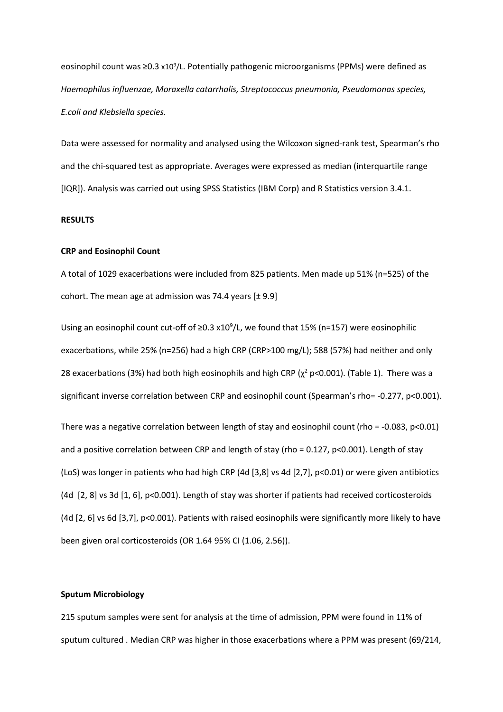eosinophil count was ≥0.3 x10<sup>9</sup>/L. Potentially pathogenic microorganisms (PPMs) were defined as *Haemophilus influenzae, Moraxella catarrhalis, Streptococcus pneumonia, Pseudomonas species, E.coli and Klebsiella species.*

Data were assessed for normality and analysed using the Wilcoxon signed-rank test, Spearman's rho and the chi-squared test as appropriate. Averages were expressed as median (interquartile range [IQR]). Analysis was carried out using SPSS Statistics (IBM Corp) and R Statistics version 3.4.1.

## **RESULTS**

### **CRP and Eosinophil Count**

A total of 1029 exacerbations were included from 825 patients. Men made up 51% (n=525) of the cohort. The mean age at admission was 74.4 years  $[\pm 9.9]$ 

Using an eosinophil count cut-off of ≥0.3 x10<sup>9</sup>/L, we found that 15% (n=157) were eosinophilic exacerbations, while 25% (n=256) had a high CRP (CRP>100 mg/L); 588 (57%) had neither and only 28 exacerbations (3%) had both high eosinophils and high CRP ( $\chi^2$  p<0.001). (Table 1). There was a significant inverse correlation between CRP and eosinophil count (Spearman's rho= -0.277, p<0.001).

There was a negative correlation between length of stay and eosinophil count (rho = -0.083, p<0.01) and a positive correlation between CRP and length of stay (rho = 0.127, p<0.001). Length of stay (LoS) was longer in patients who had high CRP (4d [3,8] vs 4d [2,7], p<0.01) or were given antibiotics (4d [2, 8] vs 3d [1, 6], p<0.001). Length of stay was shorter if patients had received corticosteroids (4d [2, 6] vs 6d [3,7], p<0.001). Patients with raised eosinophils were significantly more likely to have been given oral corticosteroids (OR 1.64 95% CI (1.06, 2.56)).

## **Sputum Microbiology**

215 sputum samples were sent for analysis at the time of admission, PPM were found in 11% of sputum cultured . Median CRP was higher in those exacerbations where a PPM was present (69/214,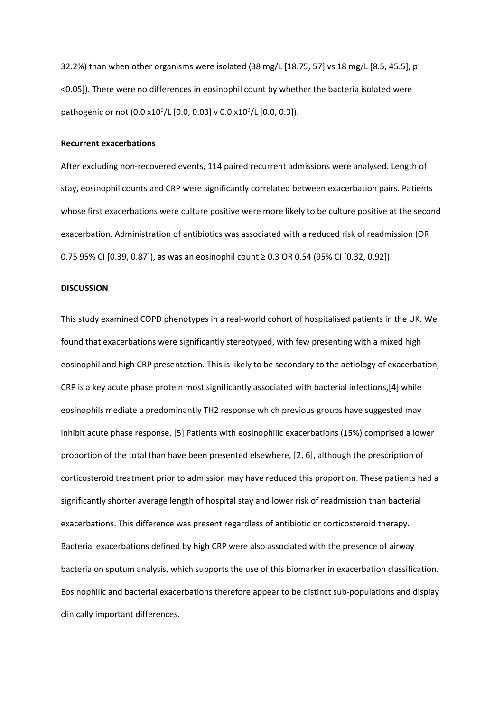32.2%) than when other organisms were isolated (38 mg/L [18.75, 57] vs 18 mg/L [8.5, 45.5], p <0.05]). There were no differences in eosinophil count by whether the bacteria isolated were pathogenic or not (0.0 x10<sup>9</sup>/L [0.0, 0.03] v 0.0 x10<sup>9</sup>/L [0.0, 0.3]).

#### **Recurrent exacerbations**

After excluding non-recovered events, 114 paired recurrent admissions were analysed. Length of stay, eosinophil counts and CRP were significantly correlated between exacerbation pairs. Patients whose first exacerbations were culture positive were more likely to be culture positive at the second exacerbation. Administration of antibiotics was associated with a reduced risk of readmission (OR 0.75 95% CI [0.39, 0.87]), as was an eosinophil count ≥ 0.3 OR 0.54 (95% CI [0.32, 0.92]).

### **DISCUSSION**

This study examined COPD phenotypes in a real-world cohort of hospitalised patients in the UK. We found that exacerbations were significantly stereotyped, with few presenting with a mixed high eosinophil and high CRP presentation. This is likely to be secondary to the aetiology of exacerbation, CRP is a key acute phase protein most significantly associated with bacterial infections,[4] while eosinophils mediate a predominantly TH2 response which previous groups have suggested may inhibit acute phase response. [5] Patients with eosinophilic exacerbations (15%) comprised a lower proportion of the total than have been presented elsewhere, [2, 6], although the prescription of corticosteroid treatment prior to admission may have reduced this proportion. These patients had a significantly shorter average length of hospital stay and lower risk of readmission than bacterial exacerbations. This difference was present regardless of antibiotic or corticosteroid therapy. Bacterial exacerbations defined by high CRP were also associated with the presence of airway bacteria on sputum analysis, which supports the use of this biomarker in exacerbation classification. Eosinophilic and bacterial exacerbations therefore appear to be distinct sub-populations and display clinically important differences.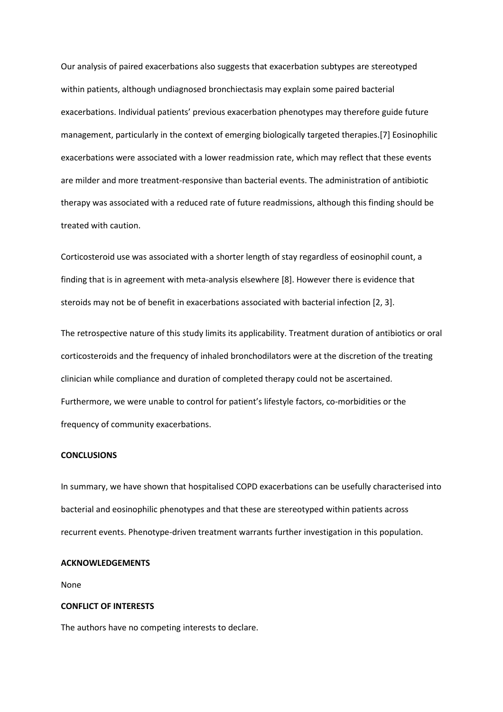Our analysis of paired exacerbations also suggests that exacerbation subtypes are stereotyped within patients, although undiagnosed bronchiectasis may explain some paired bacterial exacerbations. Individual patients' previous exacerbation phenotypes may therefore guide future management, particularly in the context of emerging biologically targeted therapies.[7] Eosinophilic exacerbations were associated with a lower readmission rate, which may reflect that these events are milder and more treatment-responsive than bacterial events. The administration of antibiotic therapy was associated with a reduced rate of future readmissions, although this finding should be treated with caution.

Corticosteroid use was associated with a shorter length of stay regardless of eosinophil count, a finding that is in agreement with meta-analysis elsewhere [8]. However there is evidence that steroids may not be of benefit in exacerbations associated with bacterial infection [2, 3].

The retrospective nature of this study limits its applicability. Treatment duration of antibiotics or oral corticosteroids and the frequency of inhaled bronchodilators were at the discretion of the treating clinician while compliance and duration of completed therapy could not be ascertained. Furthermore, we were unable to control for patient's lifestyle factors, co-morbidities or the frequency of community exacerbations.

### **CONCLUSIONS**

In summary, we have shown that hospitalised COPD exacerbations can be usefully characterised into bacterial and eosinophilic phenotypes and that these are stereotyped within patients across recurrent events. Phenotype-driven treatment warrants further investigation in this population.

### **ACKNOWLEDGEMENTS**

None

# **CONFLICT OF INTERESTS**

The authors have no competing interests to declare.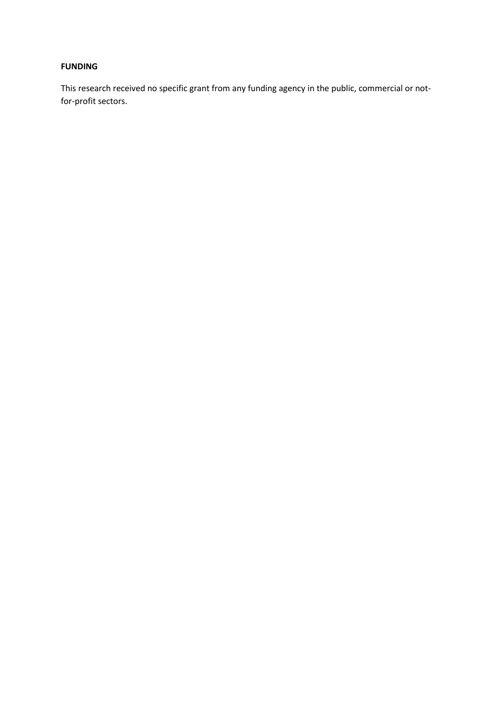# **FUNDING**

This research received no specific grant from any funding agency in the public, commercial or notfor-profit sectors.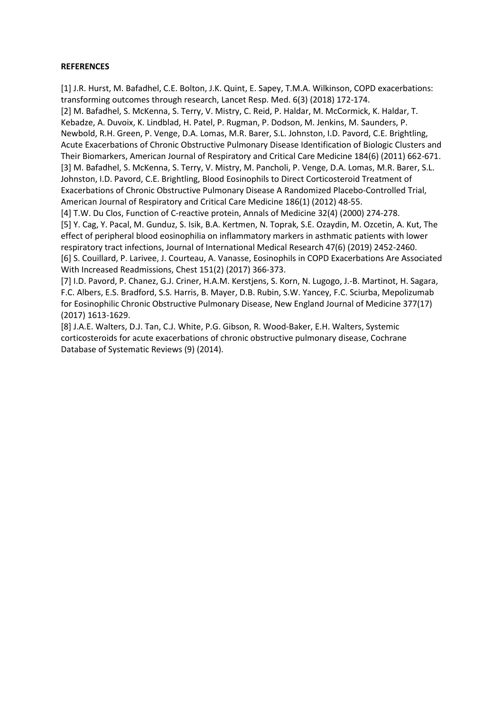# **REFERENCES**

[1] J.R. Hurst, M. Bafadhel, C.E. Bolton, J.K. Quint, E. Sapey, T.M.A. Wilkinson, COPD exacerbations: transforming outcomes through research, Lancet Resp. Med. 6(3) (2018) 172-174. [2] M. Bafadhel, S. McKenna, S. Terry, V. Mistry, C. Reid, P. Haldar, M. McCormick, K. Haldar, T. Kebadze, A. Duvoix, K. Lindblad, H. Patel, P. Rugman, P. Dodson, M. Jenkins, M. Saunders, P. Newbold, R.H. Green, P. Venge, D.A. Lomas, M.R. Barer, S.L. Johnston, I.D. Pavord, C.E. Brightling, Acute Exacerbations of Chronic Obstructive Pulmonary Disease Identification of Biologic Clusters and Their Biomarkers, American Journal of Respiratory and Critical Care Medicine 184(6) (2011) 662-671. [3] M. Bafadhel, S. McKenna, S. Terry, V. Mistry, M. Pancholi, P. Venge, D.A. Lomas, M.R. Barer, S.L. Johnston, I.D. Pavord, C.E. Brightling, Blood Eosinophils to Direct Corticosteroid Treatment of Exacerbations of Chronic Obstructive Pulmonary Disease A Randomized Placebo-Controlled Trial, American Journal of Respiratory and Critical Care Medicine 186(1) (2012) 48-55.

[4] T.W. Du Clos, Function of C-reactive protein, Annals of Medicine 32(4) (2000) 274-278. [5] Y. Cag, Y. Pacal, M. Gunduz, S. Isik, B.A. Kertmen, N. Toprak, S.E. Ozaydin, M. Ozcetin, A. Kut, The effect of peripheral blood eosinophilia on inflammatory markers in asthmatic patients with lower respiratory tract infections, Journal of International Medical Research 47(6) (2019) 2452-2460. [6] S. Couillard, P. Larivee, J. Courteau, A. Vanasse, Eosinophils in COPD Exacerbations Are Associated With Increased Readmissions, Chest 151(2) (2017) 366-373.

[7] I.D. Pavord, P. Chanez, G.J. Criner, H.A.M. Kerstjens, S. Korn, N. Lugogo, J.-B. Martinot, H. Sagara, F.C. Albers, E.S. Bradford, S.S. Harris, B. Mayer, D.B. Rubin, S.W. Yancey, F.C. Sciurba, Mepolizumab for Eosinophilic Chronic Obstructive Pulmonary Disease, New England Journal of Medicine 377(17) (2017) 1613-1629.

[8] J.A.E. Walters, D.J. Tan, C.J. White, P.G. Gibson, R. Wood-Baker, E.H. Walters, Systemic corticosteroids for acute exacerbations of chronic obstructive pulmonary disease, Cochrane Database of Systematic Reviews (9) (2014).